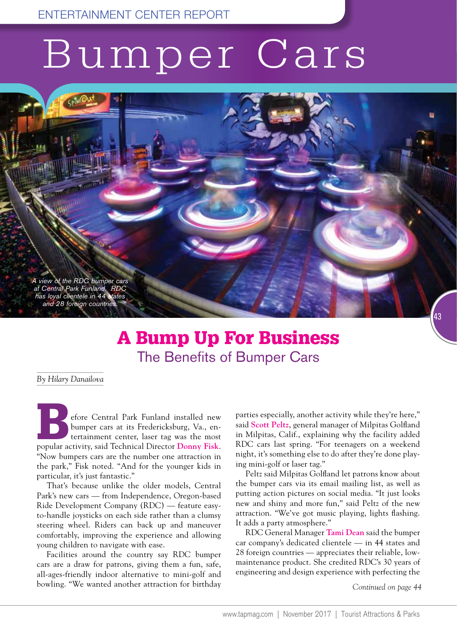## Bumper Cars

*A view of the RDC bumper cars at Central Park Funland. RDC has loyal clientele in 44 states and 28 foreign countries.*

## A Bump Up For Business The Benefits of Bumper Cars

*By Hilary Danailova*

Economic Central Park Funland installed new<br>bumper cars at its Fredericksburg, Va., en-<br>tertainment center, laser tag was the most<br>popular activity, said Technical Director Donny Fisk. bumper cars at its Fredericksburg, Va., entertainment center, laser tag was the most popular activity, said Technical Director **Donny Fisk**. "Now bumpers cars are the number one attraction in the park," Fisk noted. "And for the younger kids in particular, it's just fantastic."

That's because unlike the older models, Central Park's new cars — from Independence, Oregon-based Ride Development Company (RDC) — feature easyto-handle joysticks on each side rather than a clumsy steering wheel. Riders can back up and maneuver comfortably, improving the experience and allowing young children to navigate with ease.

Facilities around the country say RDC bumper cars are a draw for patrons, giving them a fun, safe, all-ages-friendly indoor alternative to mini-golf and bowling. "We wanted another attraction for birthday

parties especially, another activity while they're here," said **Scott Peltz**, general manager of Milpitas Golfland in Milpitas, Calif., explaining why the facility added RDC cars last spring. "For teenagers on a weekend night, it's something else to do after they're done playing mini-golf or laser tag."

Peltz said Milpitas Golfland let patrons know about the bumper cars via its email mailing list, as well as putting action pictures on social media. "It just looks new and shiny and more fun," said Peltz of the new attraction. "We've got music playing, lights flashing. It adds a party atmosphere."

RDC General Manager **Tami Dean** said the bumper car company's dedicated clientele — in 44 states and 28 foreign countries — appreciates their reliable, lowmaintenance product. She credited RDC's 30 years of engineering and design experience with perfecting the

*Continued on page 44*

43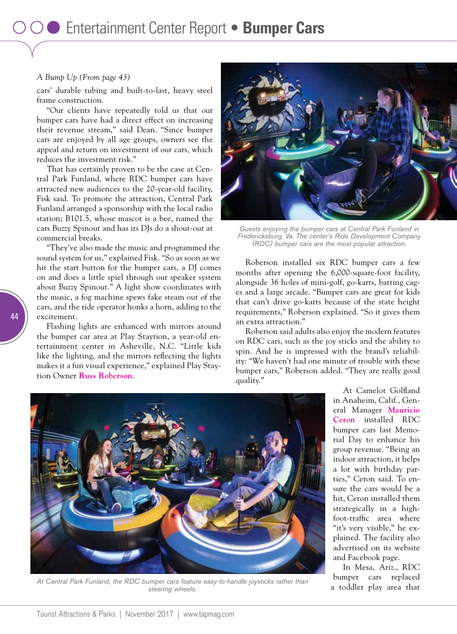## *A Bump Up (From page 43)*

cars' durable tubing and built-to-last, heavy steel frame construction.

"Our clients have repeatedly told us that our bumper cars have had a direct effect on increasing their revenue stream," said Dean. "Since bumper cars are enjoyed by all age groups, owners see the appeal and return on investment of our cars, which reduces the investment risk."

That has certainly proven to be the case at Central Park Funland, where RDC bumper cars have attracted new audiences to the 20-year-old facility, Fisk said. To promote the attraction, Central Park Funland arranged a sponsorship with the local radio station; B101.5, whose mascot is a bee, named the cars Buzzy Spinout and has its DJs do a shout-out at commercial breaks.

"They've also made the music and programmed the sound system for us," explained Fisk. "So as soon as we hit the start button for the bumper cars, a DJ comes on and does a little spiel through our speaker system about Buzzy Spinout." A light show coordinates with the music, a fog machine spews fake steam out of the cars, and the ride operator honks a horn, adding to the excitement.

Flashing lights are enhanced with mirrors around the bumper car area at Play Staytion, a year-old entertainment center in Asheville, N.C. "Little kids like the lighting, and the mirrors reflecting the lights makes it a fun visual experience," explained Play Staytion Owner **Russ Roberson**.



*Guests enjoying the bumper cars at Central Park Funland in Fredericksburg, Va. The center's Ride Development Company (RDC) bumper cars are the most popular attraction.* 

Roberson installed six RDC bumper cars a few months after opening the 6,000-square-foot facility, alongside 36 holes of mini-golf, go-karts, batting cages and a large arcade. "Bumper cars are great for kids that can't drive go-karts because of the state height requirements," Roberson explained. "So it gives them an extra attraction."

Roberson said adults also enjoy the modern features on RDC cars, such as the joy sticks and the ability to spin. And he is impressed with the brand's reliability: "We haven't had one minute of trouble with these bumper cars," Roberson added. "They are really good quality."



*At Central Park Funland, the RDC bumper cars feature easy-to-handle joysticks rather than steering wheels.*

At Camelot Golfland in Anaheim, Calif., General Manager **Mauricio Ceron** installed RDC bumper cars last Memorial Day to enhance his group revenue. "Being an indoor attraction, it helps a lot with birthday parties," Ceron said. To ensure the cars would be a hit, Ceron installed them strategically in a highfoot-traffic area where "it's very visible," he explained. The facility also advertised on its website and Facebook page.

In Mesa, Ariz., RDC bumper cars replaced a toddler play area that